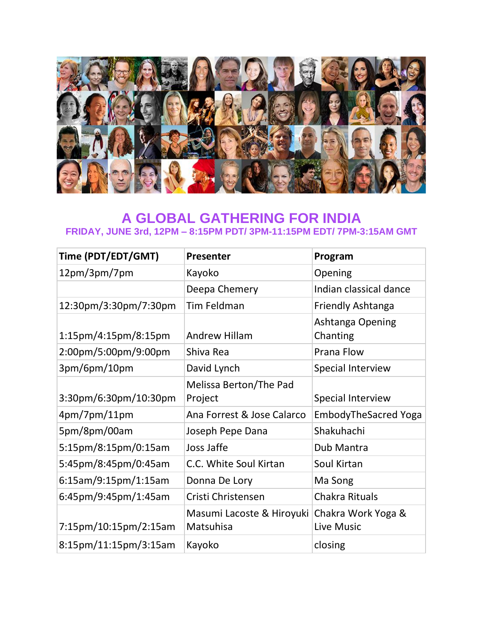

## **A GLOBAL GATHERING FOR INDIA FRIDAY, JUNE 3rd, 12PM – 8:15PM PDT/ 3PM-11:15PM EDT/ 7PM-3:15AM GMT**

| Time (PDT/EDT/GMT)      | <b>Presenter</b>                       | Program                          |
|-------------------------|----------------------------------------|----------------------------------|
| 12pm/3pm/7pm            | Kayoko                                 | Opening                          |
|                         | Deepa Chemery                          | Indian classical dance           |
| 12:30pm/3:30pm/7:30pm   | Tim Feldman                            | <b>Friendly Ashtanga</b>         |
| $1:15$ pm/4:15pm/8:15pm | <b>Andrew Hillam</b>                   | Ashtanga Opening<br>Chanting     |
| 2:00pm/5:00pm/9:00pm    | Shiva Rea                              | Prana Flow                       |
| 3pm/6pm/10pm            | David Lynch                            | Special Interview                |
| 3:30pm/6:30pm/10:30pm   | Melissa Berton/The Pad<br>Project      | Special Interview                |
| 4pm/7pm/11pm            | Ana Forrest & Jose Calarco             | <b>EmbodyTheSacred Yoga</b>      |
| 5pm/8pm/00am            | Joseph Pepe Dana                       | Shakuhachi                       |
| 5:15pm/8:15pm/0:15am    | Joss Jaffe                             | Dub Mantra                       |
| 5:45pm/8:45pm/0:45am    | C.C. White Soul Kirtan                 | Soul Kirtan                      |
| 6:15am/9:15pm/1:15am    | Donna De Lory                          | Ma Song                          |
| 6:45pm/9:45pm/1:45am    | Cristi Christensen                     | Chakra Rituals                   |
| 7:15pm/10:15pm/2:15am   | Masumi Lacoste & Hiroyuki<br>Matsuhisa | Chakra Work Yoga &<br>Live Music |
| 8:15pm/11:15pm/3:15am   | Kayoko                                 | closing                          |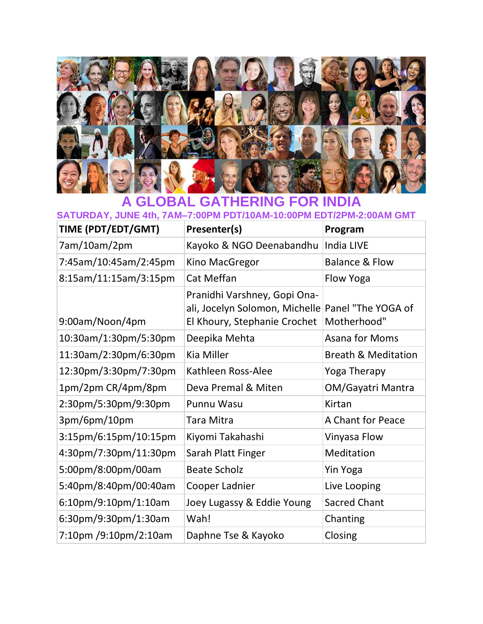

## **A GLOBAL GATHERING FOR INDIA**

**SATURDAY, JUNE 4th, 7AM–7:00PM PDT/10AM-10:00PM EDT/2PM-2:00AM GMT**

| TIME (PDT/EDT/GMT)                             | Presenter(s)                                                                                   | Program                           |
|------------------------------------------------|------------------------------------------------------------------------------------------------|-----------------------------------|
| 7am/10am/2pm                                   | Kayoko & NGO Deenabandhu                                                                       | India LIVE                        |
| 7:45am/10:45am/2:45pm                          | Kino MacGregor                                                                                 | <b>Balance &amp; Flow</b>         |
| 8:15am/11:15am/3:15pm                          | Cat Meffan                                                                                     | Flow Yoga                         |
| 9:00am/Noon/4pm                                | Pranidhi Varshney, Gopi Ona-<br>ali, Jocelyn Solomon, Michelle<br>El Khoury, Stephanie Crochet | Panel "The YOGA of<br>Motherhood" |
| 10:30am/1:30pm/5:30pm                          | Deepika Mehta                                                                                  | Asana for Moms                    |
| 11:30am/2:30pm/6:30pm                          | Kia Miller                                                                                     | <b>Breath &amp; Meditation</b>    |
| 12:30pm/3:30pm/7:30pm                          | Kathleen Ross-Alee                                                                             | Yoga Therapy                      |
| 1pm/2pm CR/4pm/8pm                             | Deva Premal & Miten                                                                            | OM/Gayatri Mantra                 |
| 2:30pm/5:30pm/9:30pm                           | <b>Punnu Wasu</b>                                                                              | Kirtan                            |
| 3pm/6pm/10pm                                   | Tara Mitra                                                                                     | A Chant for Peace                 |
| 3:15pm/6:15pm/10:15pm                          | Kiyomi Takahashi                                                                               | Vinyasa Flow                      |
| 4:30pm/7:30pm/11:30pm                          | Sarah Platt Finger                                                                             | Meditation                        |
| 5:00pm/8:00pm/00am                             | <b>Beate Scholz</b>                                                                            | <b>Yin Yoga</b>                   |
| 5:40pm/8:40pm/00:40am                          | Cooper Ladnier                                                                                 | Live Looping                      |
| $6:10 \text{pm}/9:10 \text{pm}/1:10 \text{am}$ | Joey Lugassy & Eddie Young                                                                     | <b>Sacred Chant</b>               |
| 6:30pm/9:30pm/1:30am                           | Wah!                                                                                           | Chanting                          |
| 7:10pm /9:10pm/2:10am                          | Daphne Tse & Kayoko                                                                            | Closing                           |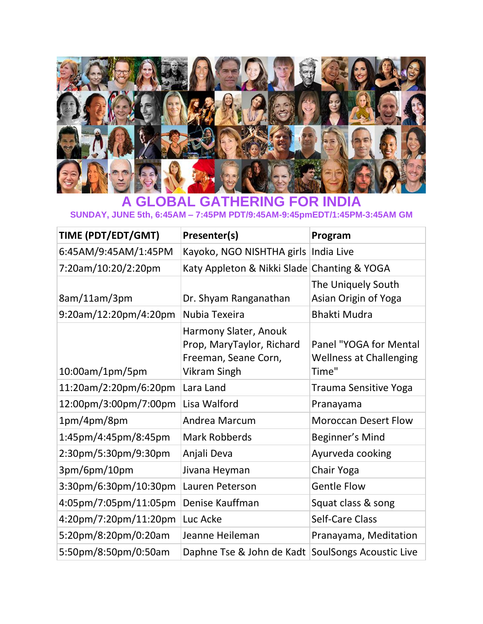

## **A GLOBAL GATHERING FOR INDIA SUNDAY, JUNE 5th, 6:45AM – 7:45PM PDT/9:45AM-9:45pmEDT/1:45PM-3:45AM GM**

| TIME (PDT/EDT/GMT)    | Presenter(s)                                                                                      | Program                                                           |
|-----------------------|---------------------------------------------------------------------------------------------------|-------------------------------------------------------------------|
| 6:45AM/9:45AM/1:45PM  | Kayoko, NGO NISHTHA girls                                                                         | India Live                                                        |
| 7:20am/10:20/2:20pm   | Katy Appleton & Nikki Slade Chanting & YOGA                                                       |                                                                   |
| 8am/11am/3pm          | Dr. Shyam Ranganathan                                                                             | The Uniquely South<br>Asian Origin of Yoga                        |
| 9:20am/12:20pm/4:20pm | Nubia Texeira                                                                                     | <b>Bhakti Mudra</b>                                               |
| 10:00am/1pm/5pm       | Harmony Slater, Anouk<br>Prop, MaryTaylor, Richard<br>Freeman, Seane Corn,<br><b>Vikram Singh</b> | Panel "YOGA for Mental<br><b>Wellness at Challenging</b><br>Time" |
| 11:20am/2:20pm/6:20pm | Lara Land                                                                                         | Trauma Sensitive Yoga                                             |
| 12:00pm/3:00pm/7:00pm | Lisa Walford                                                                                      | Pranayama                                                         |
| 1pm/4pm/8pm           | Andrea Marcum                                                                                     | <b>Moroccan Desert Flow</b>                                       |
| 1:45pm/4:45pm/8:45pm  | <b>Mark Robberds</b>                                                                              | Beginner's Mind                                                   |
| 2:30pm/5:30pm/9:30pm  | Anjali Deva                                                                                       | Ayurveda cooking                                                  |
| 3pm/6pm/10pm          | Jivana Heyman                                                                                     | Chair Yoga                                                        |
| 3:30pm/6:30pm/10:30pm | Lauren Peterson                                                                                   | <b>Gentle Flow</b>                                                |
| 4:05pm/7:05pm/11:05pm | Denise Kauffman                                                                                   | Squat class & song                                                |
| 4:20pm/7:20pm/11:20pm | Luc Acke                                                                                          | <b>Self-Care Class</b>                                            |
| 5:20pm/8:20pm/0:20am  | Jeanne Heileman                                                                                   | Pranayama, Meditation                                             |
| 5:50pm/8:50pm/0:50am  | Daphne Tse & John de Kadt                                                                         | <b>SoulSongs Acoustic Live</b>                                    |